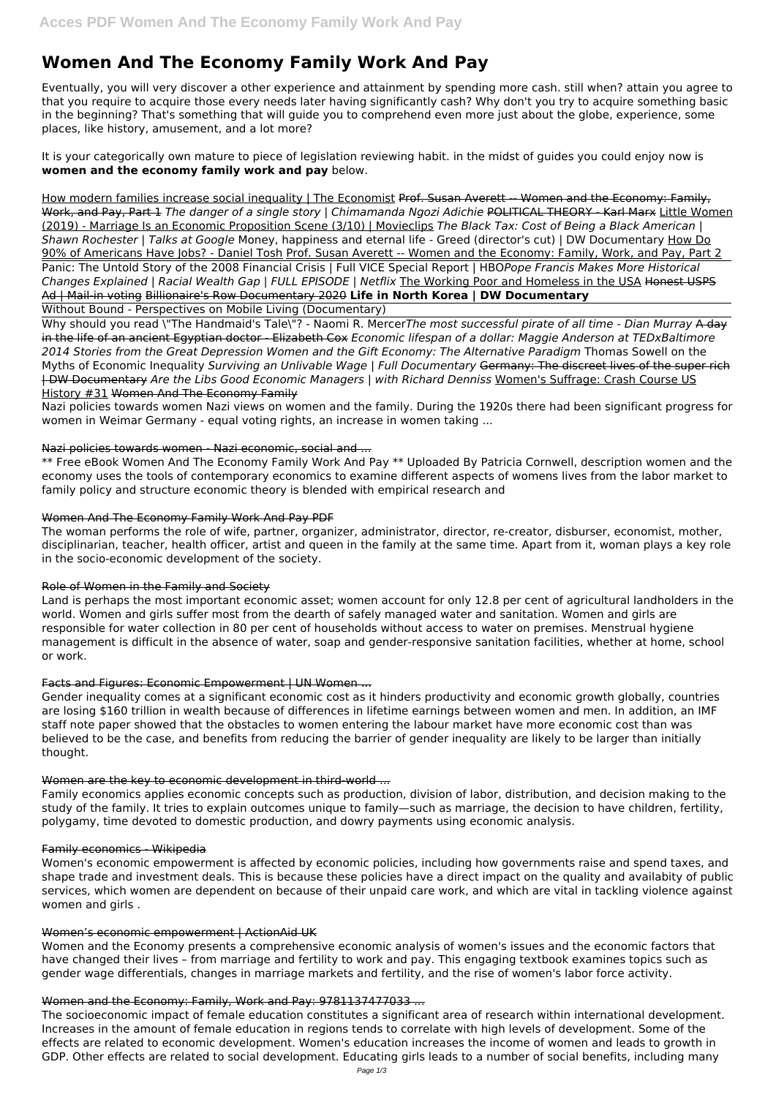# **Women And The Economy Family Work And Pay**

Eventually, you will very discover a other experience and attainment by spending more cash. still when? attain you agree to that you require to acquire those every needs later having significantly cash? Why don't you try to acquire something basic in the beginning? That's something that will guide you to comprehend even more just about the globe, experience, some places, like history, amusement, and a lot more?

It is your categorically own mature to piece of legislation reviewing habit. in the midst of guides you could enjoy now is **women and the economy family work and pay** below.

How modern families increase social inequality | The Economist Prof. Susan Averett -- Women and the Economy: Family, Work, and Pay, Part 1 *The danger of a single story | Chimamanda Ngozi Adichie* POLITICAL THEORY - Karl Marx Little Women (2019) - Marriage Is an Economic Proposition Scene (3/10) | Movieclips *The Black Tax: Cost of Being a Black American | Shawn Rochester | Talks at Google* Money, happiness and eternal life - Greed (director's cut) | DW Documentary How Do 90% of Americans Have Jobs? - Daniel Tosh Prof. Susan Averett -- Women and the Economy: Family, Work, and Pay, Part 2 Panic: The Untold Story of the 2008 Financial Crisis | Full VICE Special Report | HBO*Pope Francis Makes More Historical Changes Explained | Racial Wealth Gap | FULL EPISODE | Netflix* The Working Poor and Homeless in the USA Honest USPS Ad | Mail-in voting Billionaire's Row Documentary 2020 **Life in North Korea | DW Documentary**

Without Bound - Perspectives on Mobile Living (Documentary)

Why should you read \"The Handmaid's Tale\"? - Naomi R. Mercer*The most successful pirate of all time - Dian Murray* A day in the life of an ancient Egyptian doctor - Elizabeth Cox *Economic lifespan of a dollar: Maggie Anderson at TEDxBaltimore 2014 Stories from the Great Depression Women and the Gift Economy: The Alternative Paradigm* Thomas Sowell on the Myths of Economic Inequality *Surviving an Unlivable Wage | Full Documentary* Germany: The discreet lives of the super rich | DW Documentary *Are the Libs Good Economic Managers | with Richard Denniss* Women's Suffrage: Crash Course US History #31 Women And The Economy Family

Nazi policies towards women Nazi views on women and the family. During the 1920s there had been significant progress for women in Weimar Germany - equal voting rights, an increase in women taking ...

## Nazi policies towards women - Nazi economic, social and ...

\*\* Free eBook Women And The Economy Family Work And Pay \*\* Uploaded By Patricia Cornwell, description women and the economy uses the tools of contemporary economics to examine different aspects of womens lives from the labor market to family policy and structure economic theory is blended with empirical research and

## Women And The Economy Family Work And Pay PDF

The woman performs the role of wife, partner, organizer, administrator, director, re-creator, disburser, economist, mother, disciplinarian, teacher, health officer, artist and queen in the family at the same time. Apart from it, woman plays a key role in the socio-economic development of the society.

## Role of Women in the Family and Society

Land is perhaps the most important economic asset; women account for only 12.8 per cent of agricultural landholders in the world. Women and girls suffer most from the dearth of safely managed water and sanitation. Women and girls are responsible for water collection in 80 per cent of households without access to water on premises. Menstrual hygiene management is difficult in the absence of water, soap and gender-responsive sanitation facilities, whether at home, school or work.

# Facts and Figures: Economic Empowerment | UN Women ...

Gender inequality comes at a significant economic cost as it hinders productivity and economic growth globally, countries are losing \$160 trillion in wealth because of differences in lifetime earnings between women and men. In addition, an IMF staff note paper showed that the obstacles to women entering the labour market have more economic cost than was believed to be the case, and benefits from reducing the barrier of gender inequality are likely to be larger than initially thought.

## Women are the key to economic development in third-world ...

Family economics applies economic concepts such as production, division of labor, distribution, and decision making to the study of the family. It tries to explain outcomes unique to family—such as marriage, the decision to have children, fertility, polygamy, time devoted to domestic production, and dowry payments using economic analysis.

#### Family economics - Wikipedia

Women's economic empowerment is affected by economic policies, including how governments raise and spend taxes, and shape trade and investment deals. This is because these policies have a direct impact on the quality and availabity of public services, which women are dependent on because of their unpaid care work, and which are vital in tackling violence against women and girls .

#### Women's economic empowerment | ActionAid UK

Women and the Economy presents a comprehensive economic analysis of women's issues and the economic factors that have changed their lives – from marriage and fertility to work and pay. This engaging textbook examines topics such as gender wage differentials, changes in marriage markets and fertility, and the rise of women's labor force activity.

#### Women and the Economy: Family, Work and Pay: 9781137477033 ...

The socioeconomic impact of female education constitutes a significant area of research within international development. Increases in the amount of female education in regions tends to correlate with high levels of development. Some of the effects are related to economic development. Women's education increases the income of women and leads to growth in GDP. Other effects are related to social development. Educating girls leads to a number of social benefits, including many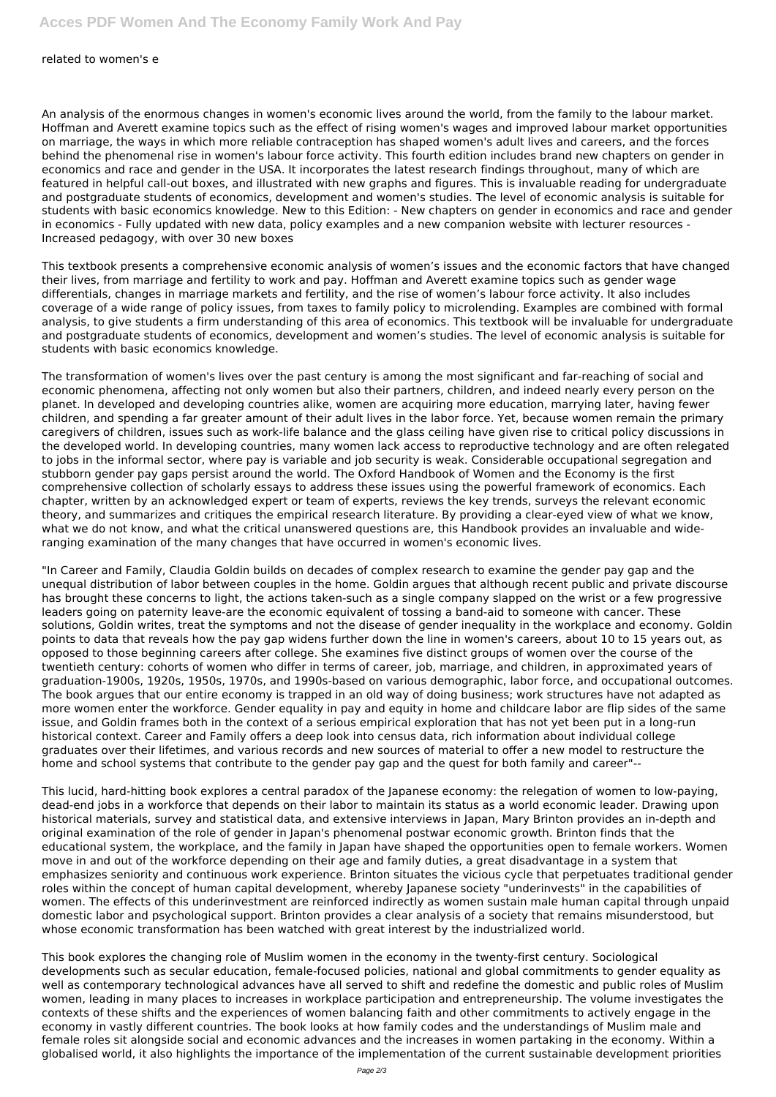#### related to women's e

An analysis of the enormous changes in women's economic lives around the world, from the family to the labour market. Hoffman and Averett examine topics such as the effect of rising women's wages and improved labour market opportunities on marriage, the ways in which more reliable contraception has shaped women's adult lives and careers, and the forces behind the phenomenal rise in women's labour force activity. This fourth edition includes brand new chapters on gender in economics and race and gender in the USA. It incorporates the latest research findings throughout, many of which are featured in helpful call-out boxes, and illustrated with new graphs and figures. This is invaluable reading for undergraduate and postgraduate students of economics, development and women's studies. The level of economic analysis is suitable for students with basic economics knowledge. New to this Edition: - New chapters on gender in economics and race and gender in economics - Fully updated with new data, policy examples and a new companion website with lecturer resources - Increased pedagogy, with over 30 new boxes

This textbook presents a comprehensive economic analysis of women's issues and the economic factors that have changed their lives, from marriage and fertility to work and pay. Hoffman and Averett examine topics such as gender wage differentials, changes in marriage markets and fertility, and the rise of women's labour force activity. It also includes coverage of a wide range of policy issues, from taxes to family policy to microlending. Examples are combined with formal analysis, to give students a firm understanding of this area of economics. This textbook will be invaluable for undergraduate and postgraduate students of economics, development and women's studies. The level of economic analysis is suitable for students with basic economics knowledge.

The transformation of women's lives over the past century is among the most significant and far-reaching of social and economic phenomena, affecting not only women but also their partners, children, and indeed nearly every person on the planet. In developed and developing countries alike, women are acquiring more education, marrying later, having fewer children, and spending a far greater amount of their adult lives in the labor force. Yet, because women remain the primary caregivers of children, issues such as work-life balance and the glass ceiling have given rise to critical policy discussions in the developed world. In developing countries, many women lack access to reproductive technology and are often relegated to jobs in the informal sector, where pay is variable and job security is weak. Considerable occupational segregation and stubborn gender pay gaps persist around the world. The Oxford Handbook of Women and the Economy is the first comprehensive collection of scholarly essays to address these issues using the powerful framework of economics. Each chapter, written by an acknowledged expert or team of experts, reviews the key trends, surveys the relevant economic theory, and summarizes and critiques the empirical research literature. By providing a clear-eyed view of what we know, what we do not know, and what the critical unanswered questions are, this Handbook provides an invaluable and wideranging examination of the many changes that have occurred in women's economic lives.

"In Career and Family, Claudia Goldin builds on decades of complex research to examine the gender pay gap and the unequal distribution of labor between couples in the home. Goldin argues that although recent public and private discourse has brought these concerns to light, the actions taken-such as a single company slapped on the wrist or a few progressive leaders going on paternity leave-are the economic equivalent of tossing a band-aid to someone with cancer. These solutions, Goldin writes, treat the symptoms and not the disease of gender inequality in the workplace and economy. Goldin points to data that reveals how the pay gap widens further down the line in women's careers, about 10 to 15 years out, as opposed to those beginning careers after college. She examines five distinct groups of women over the course of the twentieth century: cohorts of women who differ in terms of career, job, marriage, and children, in approximated years of graduation-1900s, 1920s, 1950s, 1970s, and 1990s-based on various demographic, labor force, and occupational outcomes. The book argues that our entire economy is trapped in an old way of doing business; work structures have not adapted as more women enter the workforce. Gender equality in pay and equity in home and childcare labor are flip sides of the same issue, and Goldin frames both in the context of a serious empirical exploration that has not yet been put in a long-run historical context. Career and Family offers a deep look into census data, rich information about individual college graduates over their lifetimes, and various records and new sources of material to offer a new model to restructure the home and school systems that contribute to the gender pay gap and the quest for both family and career"--

This lucid, hard-hitting book explores a central paradox of the Japanese economy: the relegation of women to low-paying, dead-end jobs in a workforce that depends on their labor to maintain its status as a world economic leader. Drawing upon historical materials, survey and statistical data, and extensive interviews in Japan, Mary Brinton provides an in-depth and original examination of the role of gender in Japan's phenomenal postwar economic growth. Brinton finds that the educational system, the workplace, and the family in Japan have shaped the opportunities open to female workers. Women move in and out of the workforce depending on their age and family duties, a great disadvantage in a system that emphasizes seniority and continuous work experience. Brinton situates the vicious cycle that perpetuates traditional gender roles within the concept of human capital development, whereby Japanese society "underinvests" in the capabilities of women. The effects of this underinvestment are reinforced indirectly as women sustain male human capital through unpaid domestic labor and psychological support. Brinton provides a clear analysis of a society that remains misunderstood, but whose economic transformation has been watched with great interest by the industrialized world.

This book explores the changing role of Muslim women in the economy in the twenty-first century. Sociological developments such as secular education, female-focused policies, national and global commitments to gender equality as well as contemporary technological advances have all served to shift and redefine the domestic and public roles of Muslim women, leading in many places to increases in workplace participation and entrepreneurship. The volume investigates the contexts of these shifts and the experiences of women balancing faith and other commitments to actively engage in the economy in vastly different countries. The book looks at how family codes and the understandings of Muslim male and female roles sit alongside social and economic advances and the increases in women partaking in the economy. Within a globalised world, it also highlights the importance of the implementation of the current sustainable development priorities